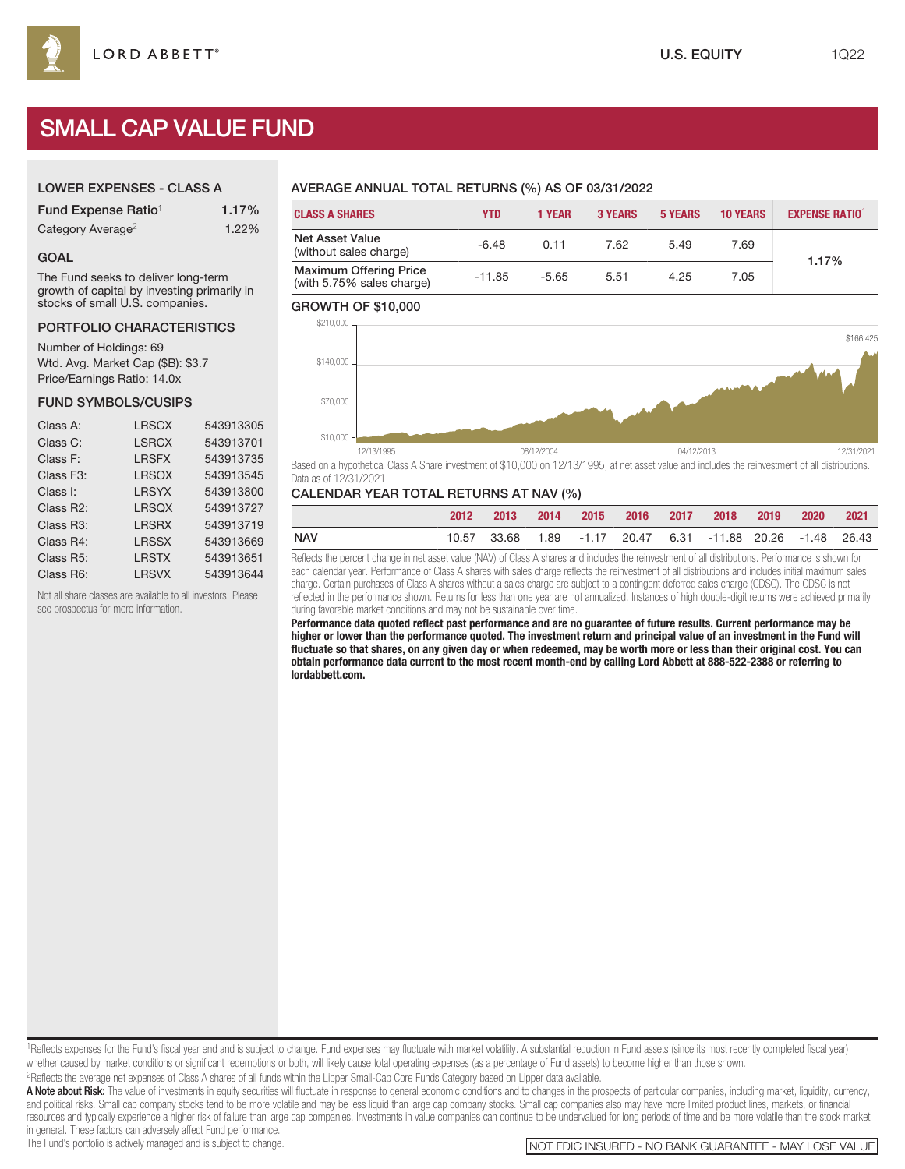# SMALL CAP VALUE FUND

# LOWER EXPENSES - CLASS A

| Fund Expense Ratio <sup>1</sup> | 1.17% |
|---------------------------------|-------|
| Category Average <sup>2</sup>   | 1.22% |

#### GOAL

The Fund seeks to deliver long-term growth of capital by investing primarily in stocks of small U.S. companies.

#### PORTFOLIO CHARACTERISTICS

Number of Holdings: 69 Wtd. Avg. Market Cap (\$B): \$3.7 Price/Earnings Ratio: 14.0x

#### FUND SYMBOLS/CUSIPS

| <b>LRSCX</b> | 543913305 |
|--------------|-----------|
| <b>LSRCX</b> | 543913701 |
| <b>LRSFX</b> | 543913735 |
| <b>LRSOX</b> | 543913545 |
| <b>LRSYX</b> | 543913800 |
| <b>LRSQX</b> | 543913727 |
| <b>LRSRX</b> | 543913719 |
| <b>LRSSX</b> | 543913669 |
| <b>LRSTX</b> | 543913651 |
| <b>LRSVX</b> | 543913644 |
|              |           |

Not all share classes are available to all investors. Please see prospectus for more information.

# AVERAGE ANNUAL TOTAL RETURNS (%) AS OF 03/31/2022

| <b>CLASS A SHARES</b>                                      | <b>YTD</b> | <b>1 YEAR</b> | <b>3 YEARS</b> | <b>5 YEARS</b> | <b>10 YEARS</b> | <b>EXPENSE RATIO1</b> |
|------------------------------------------------------------|------------|---------------|----------------|----------------|-----------------|-----------------------|
| <b>Net Asset Value</b><br>(without sales charge)           | $-6.48$    | 0.11          | 7.62           | 5.49           | 7.69            | 1.17%                 |
| <b>Maximum Offering Price</b><br>(with 5.75% sales charge) | $-11.85$   | $-5.65$       | 5.51           | 4.25           | 7.05            |                       |

#### GROWTH OF \$10,000



Based on a hypothetical Class A Share investment of \$10,000 on 12/13/1995, at net asset value and includes the reinvestment of all distributions. Data as of 12/31/2021.

#### CALENDAR YEAR TOTAL RETURNS AT NAV (%)

|            | 2012 | 2013 |  |  | 2014 2015 2016 2017 2018 2019 2020 2021                                      |  |  |
|------------|------|------|--|--|------------------------------------------------------------------------------|--|--|
| <b>NAV</b> |      |      |  |  | 10.57   33.68   1.89   -1.17   20.47   6.31   -11.88   20.26   -1.48   26.43 |  |  |

Reflects the percent change in net asset value (NAV) of Class A shares and includes the reinvestment of all distributions. Performance is shown for each calendar year. Performance of Class A shares with sales charge reflects the reinvestment of all distributions and includes initial maximum sales charge. Certain purchases of Class A shares without a sales charge are subject to a contingent deferred sales charge (CDSC). The CDSC is not reflected in the performance shown. Returns for less than one year are not annualized. Instances of high double-digit returns were achieved primarily during favorable market conditions and may not be sustainable over time.

**Performance data quoted reflect past performance and are no guarantee of future results. Current performance may be higher or lower than the performance quoted. The investment return and principal value of an investment in the Fund will fluctuate so that shares, on any given day or when redeemed, may be worth more or less than their original cost. You can obtain performance data current to the most recent month-end by calling Lord Abbett at 888-522-2388 or referring to lordabbett.com.**

<sup>1</sup>Reflects expenses for the Fund's fiscal year end and is subject to change. Fund expenses may fluctuate with market volatility. A substantial reduction in Fund assets (since its most recently completed fiscal year), whether caused by market conditions or significant redemptions or both, will likely cause total operating expenses (as a percentage of Fund assets) to become higher than those shown. 2Reflects the average net expenses of Class A shares of all funds within the Lipper Small-Cap Core Funds Category based on Lipper data available.

A Note about Risk: The value of investments in equity securities will fluctuate in response to general economic conditions and to changes in the prospects of particular companies, including market, liquidity, currency, and political risks. Small cap company stocks tend to be more volatile and may be less liquid than large cap company stocks. Small cap companies also may have more limited product lines, markets, or financial resources and typically experience a higher risk of failure than large cap companies. Investments in value companies can continue to be undervalued for long periods of time and be more volatile than the stock market in general. These factors can adversely affect Fund performance.